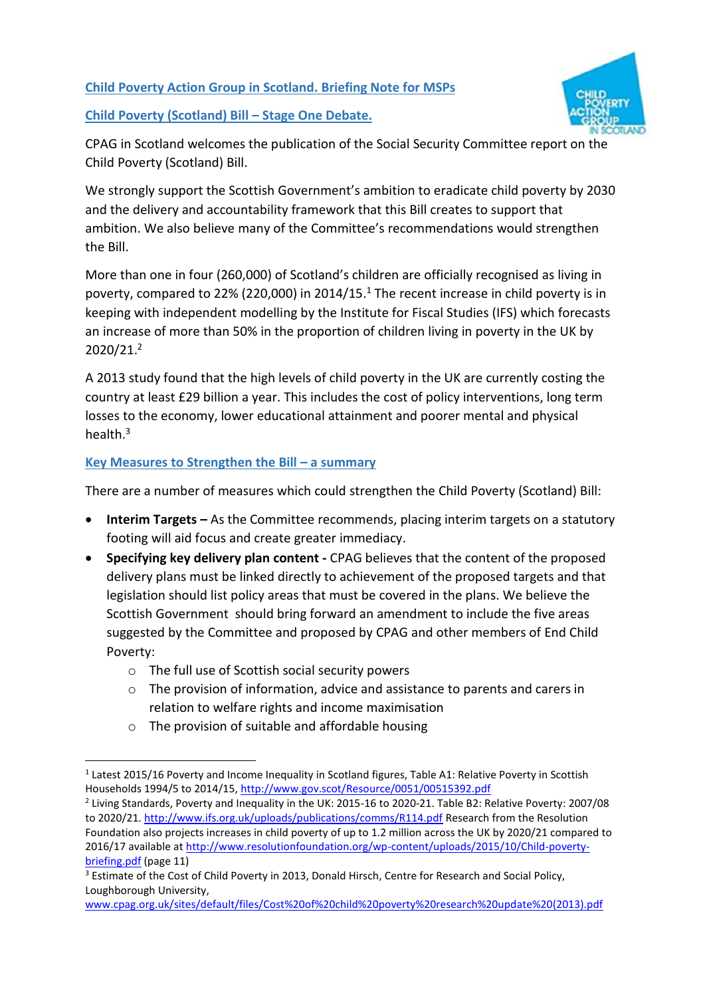**Child Poverty Action Group in Scotland. Briefing Note for MSPs** 

**Child Poverty (Scotland) Bill – Stage One Debate.** 



CPAG in Scotland welcomes the publication of the Social Security Committee report on the Child Poverty (Scotland) Bill.

We strongly support the Scottish Government's ambition to eradicate child poverty by 2030 and the delivery and accountability framework that this Bill creates to support that ambition. We also believe many of the Committee's recommendations would strengthen the Bill.

More than one in four (260,000) of Scotland's children are officially recognised as living in poverty, compared to 22% (220,000) in 2014/15. <sup>1</sup> The recent increase in child poverty is in keeping with independent modelling by the Institute for Fiscal Studies (IFS) which forecasts an increase of more than 50% in the proportion of children living in poverty in the UK by 2020/21.<sup>2</sup>

A 2013 study found that the high levels of child poverty in the UK are currently costing the country at least £29 billion a year. This includes the cost of policy interventions, long term losses to the economy, lower educational attainment and poorer mental and physical health.<sup>3</sup>

# **Key Measures to Strengthen the Bill – a summary**

There are a number of measures which could strengthen the Child Poverty (Scotland) Bill:

- **Interim Targets –** As the Committee recommends, placing interim targets on a statutory footing will aid focus and create greater immediacy.
- **Specifying key delivery plan content -** CPAG believes that the content of the proposed delivery plans must be linked directly to achievement of the proposed targets and that legislation should list policy areas that must be covered in the plans. We believe the Scottish Government should bring forward an amendment to include the five areas suggested by the Committee and proposed by CPAG and other members of End Child Poverty:
	- o The full use of Scottish social security powers
	- o The provision of information, advice and assistance to parents and carers in relation to welfare rights and income maximisation
	- o The provision of suitable and affordable housing

**<sup>.</sup>** <sup>1</sup> Latest 2015/16 Poverty and Income Inequality in Scotland figures, Table A1: Relative Poverty in Scottish Households 1994/5 to 2014/15,<http://www.gov.scot/Resource/0051/00515392.pdf>

<sup>&</sup>lt;sup>2</sup> Living Standards, Poverty and Inequality in the UK: 2015-16 to 2020-21. Table B2: Relative Poverty: 2007/08 to 2020/21.<http://www.ifs.org.uk/uploads/publications/comms/R114.pdf> Research from the Resolution Foundation also projects increases in child poverty of up to 1.2 million across the UK by 2020/21 compared to 2016/17 available at [http://www.resolutionfoundation.org/wp-content/uploads/2015/10/Child-poverty](http://www.resolutionfoundation.org/wp-content/uploads/2015/10/Child-poverty-briefing.pdf)[briefing.pdf](http://www.resolutionfoundation.org/wp-content/uploads/2015/10/Child-poverty-briefing.pdf) (page 11)

<sup>&</sup>lt;sup>3</sup> Estimate of the Cost of Child Poverty in 2013, Donald Hirsch, Centre for Research and Social Policy, Loughborough University,

[www.cpag.org.uk/sites/default/files/Cost%20of%20child%20poverty%20research%20update%20\(2013\).pdf](http://www.cpag.org.uk/sites/default/files/Cost%20of%20child%20poverty%20research%20update%20%282013%29.pdf)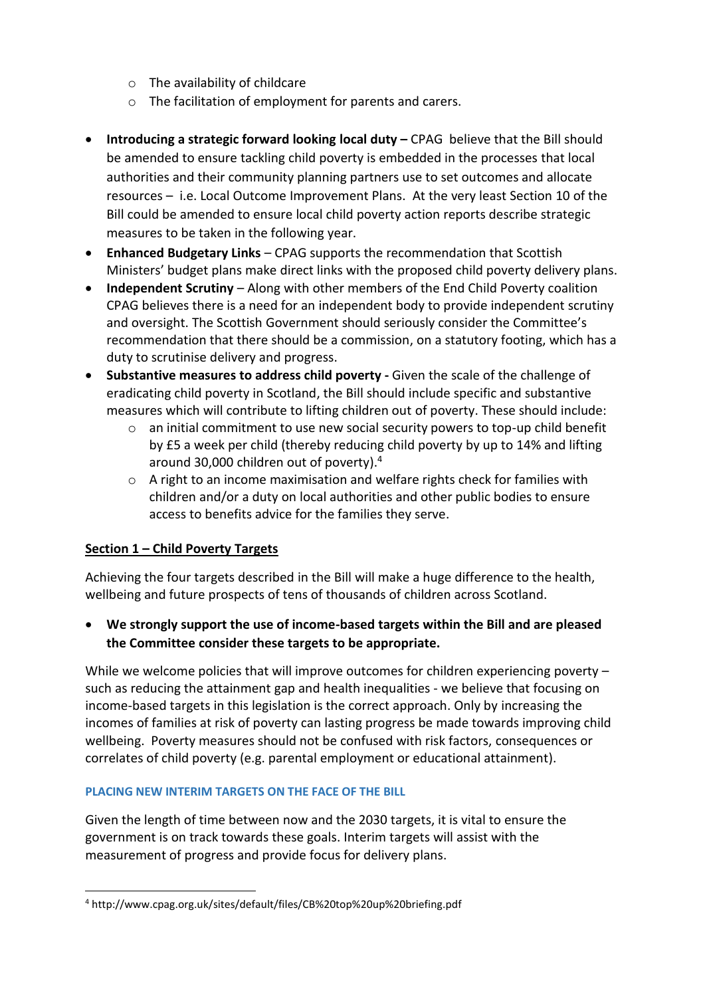- o The availability of childcare
- o The facilitation of employment for parents and carers.
- **Introducing a strategic forward looking local duty CPAG believe that the Bill should** be amended to ensure tackling child poverty is embedded in the processes that local authorities and their community planning partners use to set outcomes and allocate resources – i.e. Local Outcome Improvement Plans. At the very least Section 10 of the Bill could be amended to ensure local child poverty action reports describe strategic measures to be taken in the following year.
- **Enhanced Budgetary Links**  CPAG supports the recommendation that Scottish Ministers' budget plans make direct links with the proposed child poverty delivery plans.
- **Independent Scrutiny**  Along with other members of the End Child Poverty coalition CPAG believes there is a need for an independent body to provide independent scrutiny and oversight. The Scottish Government should seriously consider the Committee's recommendation that there should be a commission, on a statutory footing, which has a duty to scrutinise delivery and progress.
- **Substantive measures to address child poverty -** Given the scale of the challenge of eradicating child poverty in Scotland, the Bill should include specific and substantive measures which will contribute to lifting children out of poverty. These should include:
	- $\circ$  an initial commitment to use new social security powers to top-up child benefit by £5 a week per child (thereby reducing child poverty by up to 14% and lifting around 30,000 children out of poverty).<sup>4</sup>
	- o A right to an income maximisation and welfare rights check for families with children and/or a duty on local authorities and other public bodies to ensure access to benefits advice for the families they serve.

# **Section 1 – Child Poverty Targets**

Achieving the four targets described in the Bill will make a huge difference to the health, wellbeing and future prospects of tens of thousands of children across Scotland.

 **We strongly support the use of income-based targets within the Bill and are pleased the Committee consider these targets to be appropriate.** 

While we welcome policies that will improve outcomes for children experiencing poverty such as reducing the attainment gap and health inequalities - we believe that focusing on income-based targets in this legislation is the correct approach. Only by increasing the incomes of families at risk of poverty can lasting progress be made towards improving child wellbeing. Poverty measures should not be confused with risk factors, consequences or correlates of child poverty (e.g. parental employment or educational attainment).

## **PLACING NEW INTERIM TARGETS ON THE FACE OF THE BILL**

Given the length of time between now and the 2030 targets, it is vital to ensure the government is on track towards these goals. Interim targets will assist with the measurement of progress and provide focus for delivery plans.

**<sup>.</sup>** <sup>4</sup> http://www.cpag.org.uk/sites/default/files/CB%20top%20up%20briefing.pdf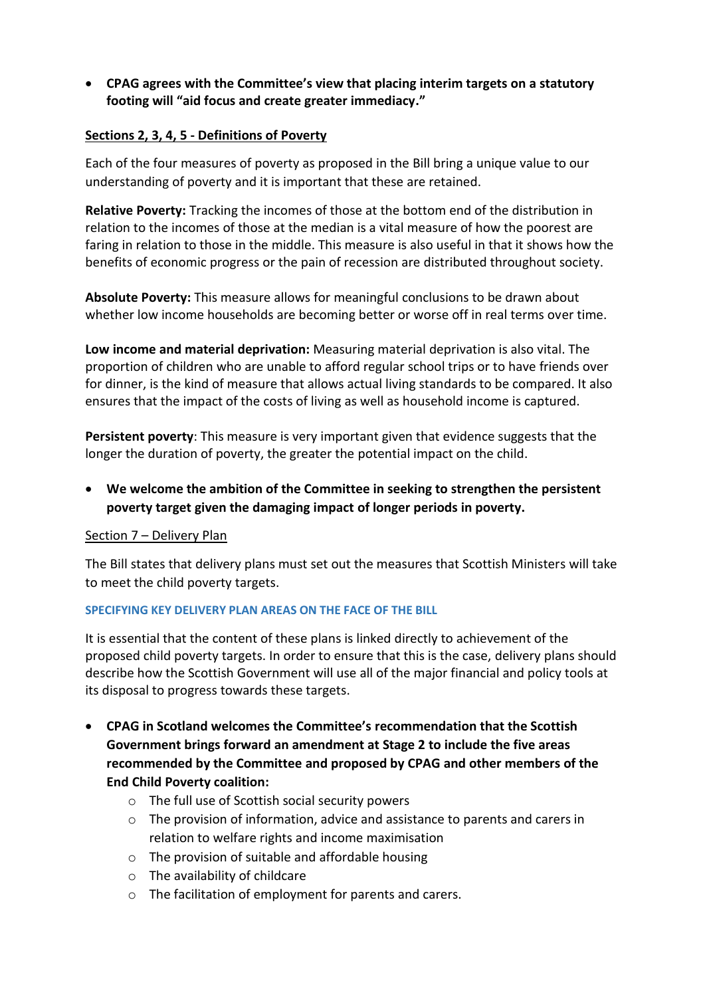**CPAG agrees with the Committee's view that placing interim targets on a statutory footing will "aid focus and create greater immediacy."**

## **Sections 2, 3, 4, 5 - Definitions of Poverty**

Each of the four measures of poverty as proposed in the Bill bring a unique value to our understanding of poverty and it is important that these are retained.

**Relative Poverty:** Tracking the incomes of those at the bottom end of the distribution in relation to the incomes of those at the median is a vital measure of how the poorest are faring in relation to those in the middle. This measure is also useful in that it shows how the benefits of economic progress or the pain of recession are distributed throughout society.

**Absolute Poverty:** This measure allows for meaningful conclusions to be drawn about whether low income households are becoming better or worse off in real terms over time.

**Low income and material deprivation:** Measuring material deprivation is also vital. The proportion of children who are unable to afford regular school trips or to have friends over for dinner, is the kind of measure that allows actual living standards to be compared. It also ensures that the impact of the costs of living as well as household income is captured.

**Persistent poverty**: This measure is very important given that evidence suggests that the longer the duration of poverty, the greater the potential impact on the child.

 **We welcome the ambition of the Committee in seeking to strengthen the persistent poverty target given the damaging impact of longer periods in poverty.**

### Section 7 - Delivery Plan

The Bill states that delivery plans must set out the measures that Scottish Ministers will take to meet the child poverty targets.

### **SPECIFYING KEY DELIVERY PLAN AREAS ON THE FACE OF THE BILL**

It is essential that the content of these plans is linked directly to achievement of the proposed child poverty targets. In order to ensure that this is the case, delivery plans should describe how the Scottish Government will use all of the major financial and policy tools at its disposal to progress towards these targets.

- **CPAG in Scotland welcomes the Committee's recommendation that the Scottish Government brings forward an amendment at Stage 2 to include the five areas recommended by the Committee and proposed by CPAG and other members of the End Child Poverty coalition:** 
	- o The full use of Scottish social security powers
	- o The provision of information, advice and assistance to parents and carers in relation to welfare rights and income maximisation
	- o The provision of suitable and affordable housing
	- o The availability of childcare
	- o The facilitation of employment for parents and carers.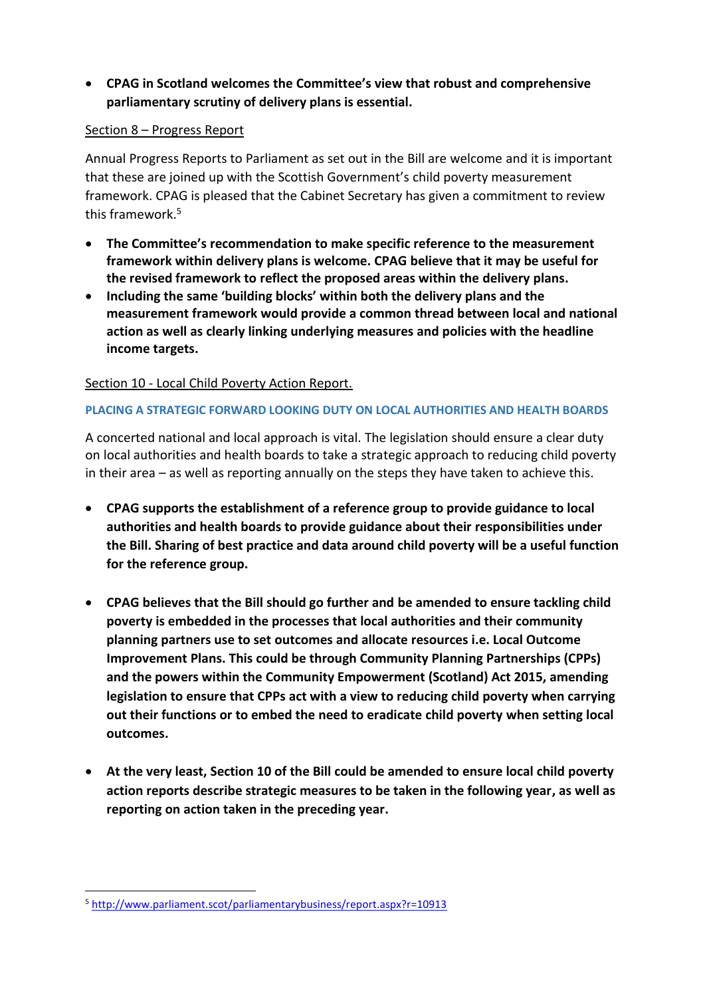# **CPAG in Scotland welcomes the Committee's view that robust and comprehensive parliamentary scrutiny of delivery plans is essential.**

## Section 8 – Progress Report

Annual Progress Reports to Parliament as set out in the Bill are welcome and it is important that these are joined up with the Scottish Government's child poverty measurement framework. CPAG is pleased that the Cabinet Secretary has given a commitment to review this framework.<sup>5</sup>

- **The Committee's recommendation to make specific reference to the measurement framework within delivery plans is welcome. CPAG believe that it may be useful for the revised framework to reflect the proposed areas within the delivery plans.**
- **Including the same 'building blocks' within both the delivery plans and the measurement framework would provide a common thread between local and national action as well as clearly linking underlying measures and policies with the headline income targets.**

## Section 10 - Local Child Poverty Action Report.

## **PLACING A STRATEGIC FORWARD LOOKING DUTY ON LOCAL AUTHORITIES AND HEALTH BOARDS**

A concerted national and local approach is vital. The legislation should ensure a clear duty on local authorities and health boards to take a strategic approach to reducing child poverty in their area – as well as reporting annually on the steps they have taken to achieve this.

- **CPAG supports the establishment of a reference group to provide guidance to local authorities and health boards to provide guidance about their responsibilities under the Bill. Sharing of best practice and data around child poverty will be a useful function for the reference group.**
- **CPAG believes that the Bill should go further and be amended to ensure tackling child poverty is embedded in the processes that local authorities and their community planning partners use to set outcomes and allocate resources i.e. Local Outcome Improvement Plans. This could be through Community Planning Partnerships (CPPs) and the powers within the Community Empowerment (Scotland) Act 2015, amending legislation to ensure that CPPs act with a view to reducing child poverty when carrying out their functions or to embed the need to eradicate child poverty when setting local outcomes.**
- **At the very least, Section 10 of the Bill could be amended to ensure local child poverty action reports describe strategic measures to be taken in the following year, as well as reporting on action taken in the preceding year.**

**.** 

<sup>5</sup> <http://www.parliament.scot/parliamentarybusiness/report.aspx?r=10913>